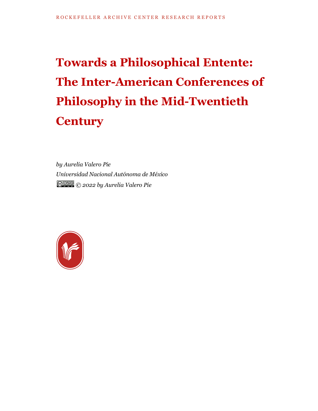# **Towards a Philosophical Entente: The Inter-American Conferences of Philosophy in the Mid-Twentieth Century**

*by Aurelia Valero Pie Universidad Nacional Autónoma de México © 2022 by Aurelia Valero Pie*

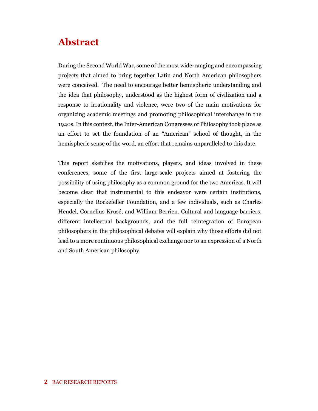### **Abstract**

During the Second World War, some of the most wide-ranging and encompassing projects that aimed to bring together Latin and North American philosophers were conceived. The need to encourage better hemispheric understanding and the idea that philosophy, understood as the highest form of civilization and a response to irrationality and violence, were two of the main motivations for organizing academic meetings and promoting philosophical interchange in the 1940s. In this context, the Inter-American Congresses of Philosophy took place as an effort to set the foundation of an "American" school of thought, in the hemispheric sense of the word, an effort that remains unparalleled to this date.

This report sketches the motivations, players, and ideas involved in these conferences, some of the first large-scale projects aimed at fostering the possibility of using philosophy as a common ground for the two Americas. It will become clear that instrumental to this endeavor were certain institutions, especially the Rockefeller Foundation, and a few individuals, such as Charles Hendel, Cornelius Krusé, and William Berrien. Cultural and language barriers, different intellectual backgrounds, and the full reintegration of European philosophers in the philosophical debates will explain why those efforts did not lead to a more continuous philosophical exchange nor to an expression of a North and South American philosophy.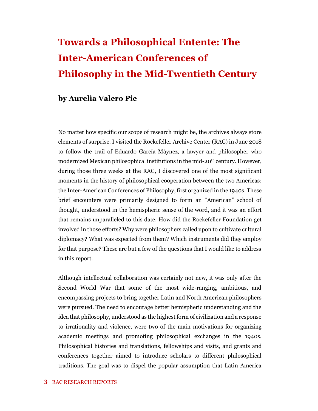## **Towards a Philosophical Entente: The Inter-American Conferences of Philosophy in the Mid-Twentieth Century**

#### **by Aurelia Valero Pie**

No matter how specific our scope of research might be, the archives always store elements of surprise. I visited the Rockefeller Archive Center (RAC) in June 2018 to follow the trail of Eduardo García Máynez, a lawyer and philosopher who modernized Mexican philosophical institutions in the mid-20<sup>th</sup> century. However, during those three weeks at the RAC, I discovered one of the most significant moments in the history of philosophical cooperation between the two Americas: the Inter-American Conferences of Philosophy, first organized in the 1940s. These brief encounters were primarily designed to form an "American" school of thought, understood in the hemispheric sense of the word, and it was an effort that remains unparalleled to this date. How did the Rockefeller Foundation get involved in those efforts? Why were philosophers called upon to cultivate cultural diplomacy? What was expected from them? Which instruments did they employ for that purpose? These are but a few of the questions that I would like to address in this report.

Although intellectual collaboration was certainly not new, it was only after the Second World War that some of the most wide-ranging, ambitious, and encompassing projects to bring together Latin and North American philosophers were pursued. The need to encourage better hemispheric understanding and the idea that philosophy, understood as the highest form of civilization and a response to irrationality and violence, were two of the main motivations for organizing academic meetings and promoting philosophical exchanges in the 1940s. Philosophical histories and translations, fellowships and visits, and grants and conferences together aimed to introduce scholars to different philosophical traditions. The goal was to dispel the popular assumption that Latin America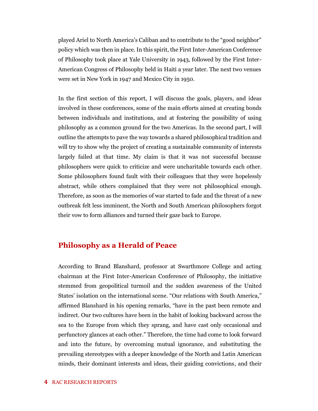played Ariel to North America's Caliban and to contribute to the "good neighbor" policy which was then in place. In this spirit, the First Inter-American Conference of Philosophy took place at Yale University in 1943, followed by the First Inter-American Congress of Philosophy held in Haiti a year later. The next two venues were set in New York in 1947 and Mexico City in 1950.

In the first section of this report, I will discuss the goals, players, and ideas involved in these conferences, some of the main efforts aimed at creating bonds between individuals and institutions, and at fostering the possibility of using philosophy as a common ground for the two Americas. In the second part, I will outline the attempts to pave the way towards a shared philosophical tradition and will try to show why the project of creating a sustainable community of interests largely failed at that time. My claim is that it was not successful because philosophers were quick to criticize and were uncharitable towards each other. Some philosophers found fault with their colleagues that they were hopelessly abstract, while others complained that they were not philosophical enough. Therefore, as soon as the memories of war started to fade and the threat of a new outbreak felt less imminent, the North and South American philosophers forgot their vow to form alliances and turned their gaze back to Europe.

#### **Philosophy as a Herald of Peace**

According to Brand Blanshard, professor at Swarthmore College and acting chairman at the First Inter-American Conference of Philosophy, the initiative stemmed from geopolitical turmoil and the sudden awareness of the United States' isolation on the international scene. "Our relations with South America," affirmed Blanshard in his opening remarks, "have in the past been remote and indirect. Our two cultures have been in the habit of looking backward across the sea to the Europe from which they sprang, and have cast only occasional and perfunctory glances at each other." Therefore, the time had come to look forward and into the future, by overcoming mutual ignorance, and substituting the prevailing stereotypes with a deeper knowledge of the North and Latin American minds, their dominant interests and ideas, their guiding convictions, and their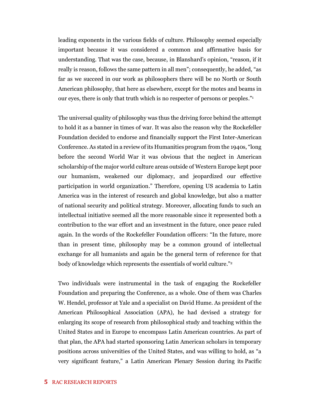leading exponents in the various fields of culture. Philosophy seemed especially important because it was considered a common and affirmative basis for understanding. That was the case, because, in Blanshard's opinion, "reason, if it really is reason, follows the same pattern in all men"; consequently, he added, "as far as we succeed in our work as philosophers there will be no North or South American philosophy, that here as elsewhere, except for the motes and beams in our eyes, there is only that truth which is no respecter of persons or peoples." 1

The universal quality of philosophy was thus the driving force behind the attempt to hold it as a banner in times of war. It was also the reason why the Rockefeller Foundation decided to endorse and financially support the First Inter-American Conference. As stated in a review of its Humanities program from the 1940s, "long before the second World War it was obvious that the neglect in American scholarship of the major world culture areas outside of Western Europe kept poor our humanism, weakened our diplomacy, and jeopardized our effective participation in world organization." Therefore, opening US academia to Latin America was in the interest of research and global knowledge, but also a matter of national security and political strategy. Moreover, allocating funds to such an intellectual initiative seemed all the more reasonable since it represented both a contribution to the war effort and an investment in the future, once peace ruled again. In the words of the Rockefeller Foundation officers: "In the future, more than in present time, philosophy may be a common ground of intellectual exchange for all humanists and again be the general term of reference for that body of knowledge which represents the essentials of world culture." 2

Two individuals were instrumental in the task of engaging the Rockefeller Foundation and preparing the Conference, as a whole. One of them was Charles W. Hendel, professor at Yale and a specialist on David Hume. As president of the American Philosophical Association (APA), he had devised a strategy for enlarging its scope of research from philosophical study and teaching within the United States and in Europe to encompass Latin American countries. As part of that plan, the APA had started sponsoring Latin American scholars in temporary positions across universities of the United States, and was willing to hold, as "a very significant feature," a Latin American Plenary Session during its Pacific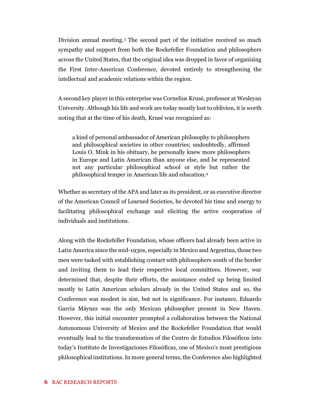Division annual meeting. <sup>3</sup> The second part of the initiative received so much sympathy and support from both the Rockefeller Foundation and philosophers across the United States, that the original idea was dropped in favor of organizing the First Inter-American Conference, devoted entirely to strengthening the intellectual and academic relations within the region.

A second key player in this enterprise was Cornelius Krusé, professor at Wesleyan University. Although his life and work are today mostly lost to oblivion, it is worth noting that at the time of his death, Krusé was recognized as:

a kind of personal ambassador of American philosophy to philosophers and philosophical societies in other countries; undoubtedly, affirmed Louis O. Mink in his obituary, he personally knew more philosophers in Europe and Latin American than anyone else, and he represented not any particular philosophical school or style but rather the philosophical temper in American life and education.<sup>4</sup>

Whether as secretary of the APA and later as its president, or as executive director of the American Council of Learned Societies, he devoted his time and energy to facilitating philosophical exchange and eliciting the active cooperation of individuals and institutions.

Along with the Rockefeller Foundation, whose officers had already been active in Latin America since the mid-1930s, especially in Mexico and Argentina, those two men were tasked with establishing contact with philosophers south of the border and inviting them to lead their respective local committees. However, war determined that, despite their efforts, the assistance ended up being limited mostly to Latin American scholars already in the United States and so, the Conference was modest in size, but not in significance. For instance, Eduardo García Máynez was the only Mexican philosopher present in New Haven. However, this initial encounter prompted a collaboration between the National Autonomous University of Mexico and the Rockefeller Foundation that would eventually lead to the transformation of the Centro de Estudios Filosóficos into today's Instituto de Investigaciones Filosóficas, one of Mexico's most prestigious philosophical institutions. In more general terms, the Conference also highlighted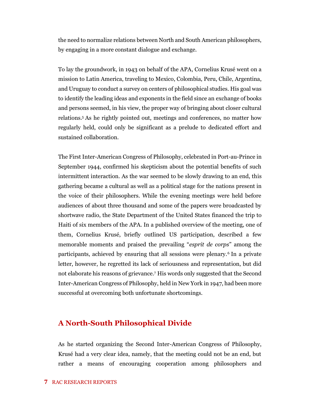the need to normalize relations between North and South American philosophers, by engaging in a more constant dialogue and exchange.

To lay the groundwork, in 1943 on behalf of the APA, Cornelius Krusé went on a mission to Latin America, traveling to Mexico, Colombia, Peru, Chile, Argentina, and Uruguay to conduct a survey on centers of philosophical studies. His goal was to identify the leading ideas and exponents in the field since an exchange of books and persons seemed, in his view, the proper way of bringing about closer cultural relations.<sup>5</sup> As he rightly pointed out, meetings and conferences, no matter how regularly held, could only be significant as a prelude to dedicated effort and sustained collaboration.

The First Inter-American Congress of Philosophy, celebrated in Port-au-Prince in September 1944, confirmed his skepticism about the potential benefits of such intermittent interaction. As the war seemed to be slowly drawing to an end, this gathering became a cultural as well as a political stage for the nations present in the voice of their philosophers. While the evening meetings were held before audiences of about three thousand and some of the papers were broadcasted by shortwave radio, the State Department of the United States financed the trip to Haiti of six members of the APA. In a published overview of the meeting, one of them, Cornelius Krusé, briefly outlined US participation, described a few memorable moments and praised the prevailing "*esprit de corps*" among the participants, achieved by ensuring that all sessions were plenary.<sup>6</sup> In a private letter, however, he regretted its lack of seriousness and representation, but did not elaborate his reasons of grievance.<sup>7</sup> His words only suggested that the Second Inter-American Congress of Philosophy, held in New York in 1947, had been more successful at overcoming both unfortunate shortcomings.

#### **A North-South Philosophical Divide**

As he started organizing the Second Inter-American Congress of Philosophy, Krusé had a very clear idea, namely, that the meeting could not be an end, but rather a means of encouraging cooperation among philosophers and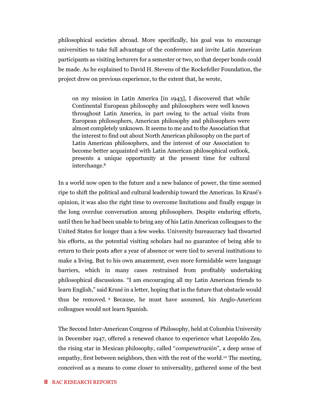philosophical societies abroad. More specifically, his goal was to encourage universities to take full advantage of the conference and invite Latin American participants as visiting lecturers for a semester or two, so that deeper bonds could be made. As he explained to David H. Stevens of the Rockefeller Foundation, the project drew on previous experience, to the extent that, he wrote,

on my mission in Latin America [in 1943], I discovered that while Continental European philosophy and philosophers were well known throughout Latin America, in part owing to the actual visits from European philosophers, American philosophy and philosophers were almost completely unknown. It seems to me and to the Association that the interest to find out about North American philosophy on the part of Latin American philosophers, and the interest of our Association to become better acquainted with Latin American philosophical outlook, presents a unique opportunity at the present time for cultural interchange.<sup>8</sup>

In a world now open to the future and a new balance of power, the time seemed ripe to shift the political and cultural leadership toward the Americas. In Krusé's opinion, it was also the right time to overcome limitations and finally engage in the long overdue conversation among philosophers. Despite enduring efforts, until then he had been unable to bring any of his Latin American colleagues to the United States for longer than a few weeks. University bureaucracy had thwarted his efforts, as the potential visiting scholars had no guarantee of being able to return to their posts after a year of absence or were tied to several institutions to make a living. But to his own amazement, even more formidable were language barriers, which in many cases restrained from profitably undertaking philosophical discussions. "I am encouraging all my Latin American friends to learn English," said Krusé in a letter, hoping that in the future that obstacle would thus be removed. <sup>9</sup> Because, he must have assumed, his Anglo-American colleagues would not learn Spanish.

The Second Inter-American Congress of Philosophy, held at Columbia University in December 1947, offered a renewed chance to experience what Leopoldo Zea, the rising star in Mexican philosophy, called "*compenetración*", a deep sense of empathy, first between neighbors, then with the rest of the world.<sup>10</sup> The meeting, conceived as a means to come closer to universality, gathered some of the best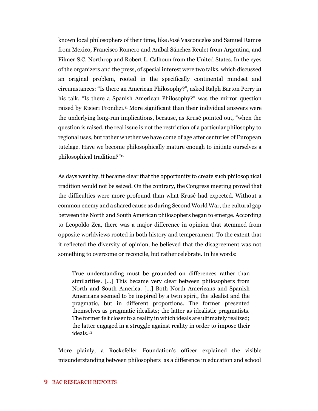known local philosophers of their time, like José Vasconcelos and Samuel Ramos from Mexico, Francisco Romero and Aníbal Sánchez Reulet from Argentina, and Filmer S.C. Northrop and Robert L. Calhoun from the United States. In the eyes of the organizers and the press, of special interest were two talks, which discussed an original problem, rooted in the specifically continental mindset and circumstances: "Is there an American Philosophy?", asked Ralph Barton Perry in his talk. "Is there a Spanish American Philosophy?" was the mirror question raised by Risieri Frondizi.<sup>11</sup> More significant than their individual answers were the underlying long-run implications, because, as Krusé pointed out, "when the question is raised, the real issue is not the restriction of a particular philosophy to regional uses, but rather whether we have come of age after centuries of European tutelage. Have we become philosophically mature enough to initiate ourselves a philosophical tradition?"<sup>12</sup>

As days went by, it became clear that the opportunity to create such philosophical tradition would not be seized. On the contrary, the Congress meeting proved that the difficulties were more profound than what Krusé had expected. Without a common enemy and a shared cause as during Second World War, the cultural gap between the North and South American philosophers began to emerge. According to Leopoldo Zea, there was a major difference in opinion that stemmed from opposite worldviews rooted in both history and temperament. To the extent that it reflected the diversity of opinion, he believed that the disagreement was not something to overcome or reconcile, but rather celebrate. In his words:

True understanding must be grounded on differences rather than similarities. […] This became very clear between philosophers from North and South America. […] Both North Americans and Spanish Americans seemed to be inspired by a twin spirit, the idealist and the pragmatic, but in different proportions. The former presented themselves as pragmatic idealists; the latter as idealistic pragmatists. The former felt closer to a reality in which ideals are ultimately realized; the latter engaged in a struggle against reality in order to impose their ideals.<sup>13</sup>

More plainly, a Rockefeller Foundation's officer explained the visible misunderstanding between philosophers as a difference in education and school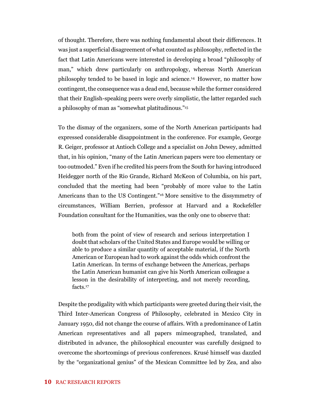of thought. Therefore, there was nothing fundamental about their differences. It was just a superficial disagreement of what counted as philosophy, reflected in the fact that Latin Americans were interested in developing a broad "philosophy of man," which drew particularly on anthropology, whereas North American philosophy tended to be based in logic and science.<sup>14</sup> However, no matter how contingent, the consequence was a dead end, because while the former considered that their English-speaking peers were overly simplistic, the latter regarded such a philosophy of man as "somewhat platitudinous." 15

To the dismay of the organizers, some of the North American participants had expressed considerable disappointment in the conference. For example, George R. Geiger, professor at Antioch College and a specialist on John Dewey, admitted that, in his opinion, "many of the Latin American papers were too elementary or too outmoded." Even if he credited his peers from the South for having introduced Heidegger north of the Rio Grande, Richard McKeon of Columbia, on his part, concluded that the meeting had been "probably of more value to the Latin Americans than to the US Contingent." <sup>16</sup> More sensitive to the dissymmetry of circumstances, William Berrien, professor at Harvard and a Rockefeller Foundation consultant for the Humanities, was the only one to observe that:

both from the point of view of research and serious interpretation I doubt that scholars of the United States and Europe would be willing or able to produce a similar quantity of acceptable material, if the North American or European had to work against the odds which confront the Latin American. In terms of exchange between the Americas, perhaps the Latin American humanist can give his North American colleague a lesson in the desirability of interpreting, and not merely recording, facts.<sup>17</sup>

Despite the prodigality with which participants were greeted during their visit, the Third Inter-American Congress of Philosophy, celebrated in Mexico City in January 1950, did not change the course of affairs. With a predominance of Latin American representatives and all papers mimeographed, translated, and distributed in advance, the philosophical encounter was carefully designed to overcome the shortcomings of previous conferences. Krusé himself was dazzled by the "organizational genius" of the Mexican Committee led by Zea, and also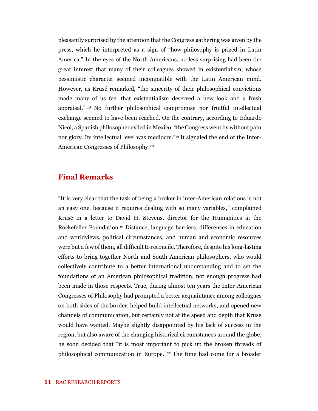pleasantly surprised by the attention that the Congress gathering was given by the press, which he interpreted as a sign of "how philosophy is prized in Latin America." In the eyes of the North Americans, no less surprising had been the great interest that many of their colleagues showed in existentialism, whose pessimistic character seemed incompatible with the Latin American mind. However, as Krusé remarked, "the sincerity of their philosophical convictions made many of us feel that existentialism deserved a new look and a fresh appraisal." <sup>18</sup> No further philosophical compromise nor fruitful intellectual exchange seemed to have been reached. On the contrary, according to Eduardo Nicol, a Spanish philosopher exiled in Mexico, "the Congress went by without pain nor glory. Its intellectual level was mediocre."<sup>19</sup> It signaled the end of the Inter-American Congresses of Philosophy. 20

#### **Final Remarks**

"It is very clear that the task of being a broker in inter-American relations is not an easy one, because it requires dealing with so many variables," complained Krusé in a letter to David H. Stevens, director for the Humanities at the Rockefeller Foundation.<sup>21</sup> Distance, language barriers, differences in education and worldviews, political circumstances, and human and economic resources were but a few of them, all difficult to reconcile. Therefore, despite his long-lasting efforts to bring together North and South American philosophers, who would collectively contribute to a better international understanding and to set the foundations of an American philosophical tradition, not enough progress had been made in those respects. True, during almost ten years the Inter-American Congresses of Philosophy had prompted a better acquaintance among colleagues on both sides of the border, helped build intellectual networks, and opened new channels of communication, but certainly not at the speed and depth that Krusé would have wanted. Maybe slightly disappointed by his lack of success in the region, but also aware of the changing historical circumstances around the globe, he soon decided that "it is most important to pick up the broken threads of philosophical communication in Europe."<sup>22</sup> The time had come for a broader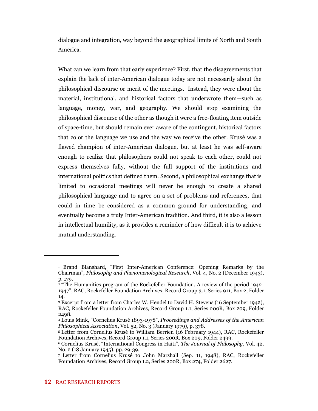dialogue and integration, way beyond the geographical limits of North and South America.

What can we learn from that early experience? First, that the disagreements that explain the lack of inter-American dialogue today are not necessarily about the philosophical discourse or merit of the meetings. Instead, they were about the material, institutional, and historical factors that underwrote them—such as language, money, war, and geography. We should stop examining the philosophical discourse of the other as though it were a free-floating item outside of space-time, but should remain ever aware of the contingent, historical factors that color the language we use and the way we receive the other. Krusé was a flawed champion of inter-American dialogue, but at least he was self-aware enough to realize that philosophers could not speak to each other, could not express themselves fully, without the full support of the institutions and international politics that defined them. Second, a philosophical exchange that is limited to occasional meetings will never be enough to create a shared philosophical language and to agree on a set of problems and references, that could in time be considered as a common ground for understanding, and eventually become a truly Inter-American tradition. And third, it is also a lesson in intellectual humility, as it provides a reminder of how difficult it is to achieve mutual understanding.

<sup>1</sup> Brand Blanshard, "First Inter-American Conference: Opening Remarks by the Chairman", *Philosophy and Phenomenological Research*, Vol. 4, No. 2 (December 1943), p. 179.

<sup>2</sup> "The Humanities program of the Rockefeller Foundation. A review of the period 1942- 1947", RAC, Rockefeller Foundation Archives, Record Group 3.1, Series 911, Box 2, Folder 14.

<sup>3</sup> Excerpt from a letter from Charles W. Hendel to David H. Stevens (16 September 1942), RAC, Rockefeller Foundation Archives, Record Group 1.1, Series 200R, Box 209, Folder 2498.

<sup>4</sup> Louis Mink, "Cornelius Krusé 1893-1978", *Proceedings and Addresses of the American Philosophical Association*, Vol. 52, No. 3 (January 1979), p. 378.

<sup>5</sup> Letter from Cornelius Krusé to William Berrien (16 February 1944), RAC, Rockefeller Foundation Archives, Record Group 1.1, Series 200R, Box 209, Folder 2499.

<sup>6</sup> Cornelius Krusé, "International Congress in Haiti", *The Journal of Philosophy*, Vol. 42, No. 2 (18 January 1945), pp. 29-39.

<sup>7</sup> Letter from Cornelius Krusé to John Marshall (Sep. 11, 1948), RAC, Rockefeller Foundation Archives, Record Group 1.2, Series 200R, Box 274, Folder 2627.